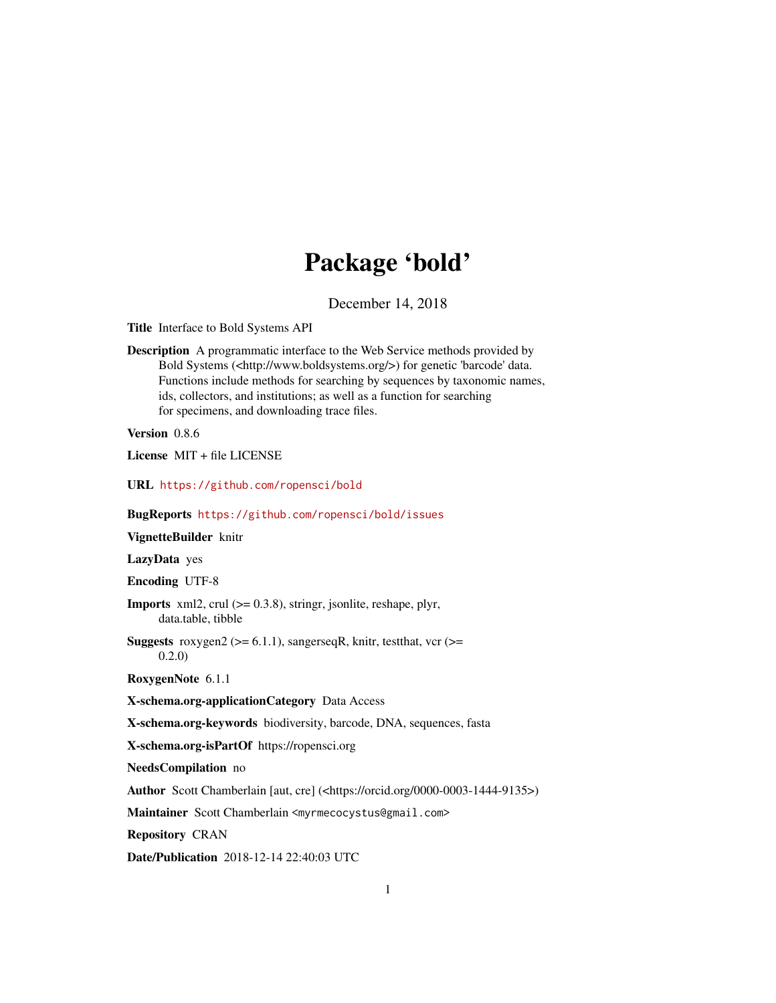## Package 'bold'

December 14, 2018

<span id="page-0-0"></span>Title Interface to Bold Systems API

Description A programmatic interface to the Web Service methods provided by Bold Systems (<http://www.boldsystems.org/>) for genetic 'barcode' data. Functions include methods for searching by sequences by taxonomic names, ids, collectors, and institutions; as well as a function for searching for specimens, and downloading trace files.

Version 0.8.6

License MIT + file LICENSE

URL <https://github.com/ropensci/bold>

BugReports <https://github.com/ropensci/bold/issues>

VignetteBuilder knitr

LazyData yes

Encoding UTF-8

**Imports** xml2, crul  $(>= 0.3.8)$ , stringr, jsonlite, reshape, plyr, data.table, tibble

Suggests roxygen2 ( $>= 6.1.1$ ), sangerseqR, knitr, testthat, vcr ( $>=$ 0.2.0)

RoxygenNote 6.1.1

X-schema.org-applicationCategory Data Access

X-schema.org-keywords biodiversity, barcode, DNA, sequences, fasta

X-schema.org-isPartOf https://ropensci.org

NeedsCompilation no

Author Scott Chamberlain [aut, cre] (<https://orcid.org/0000-0003-1444-9135>)

Maintainer Scott Chamberlain <myrmecocystus@gmail.com>

Repository CRAN

Date/Publication 2018-12-14 22:40:03 UTC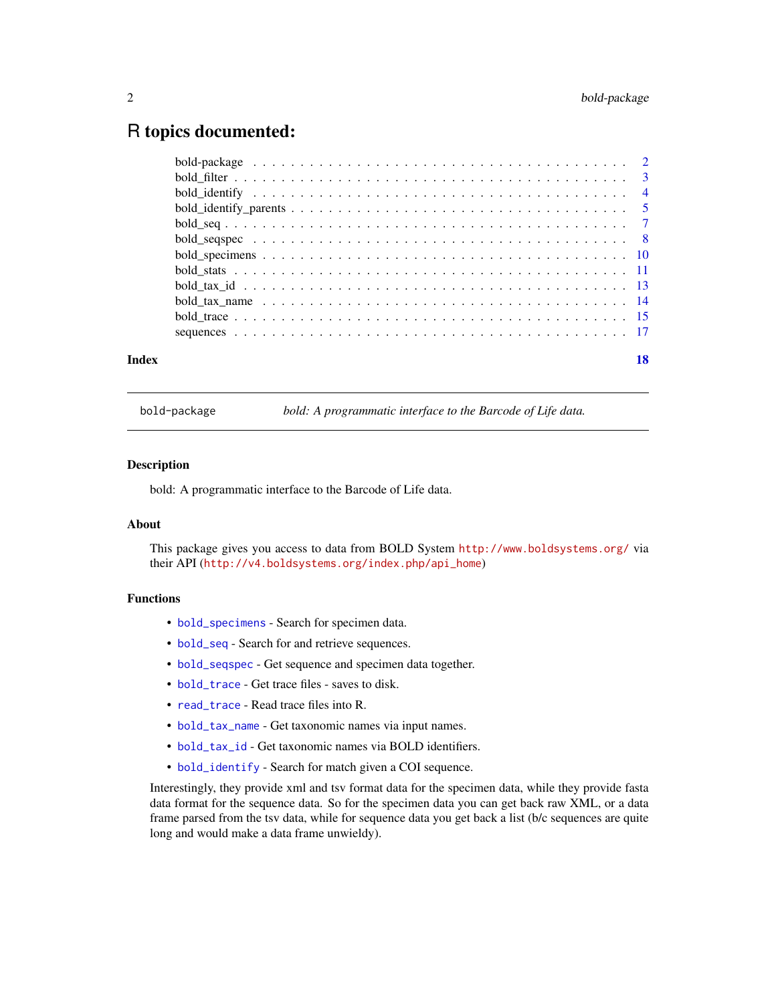### <span id="page-1-0"></span>R topics documented:

| Index |                                                                                                            | 18 |
|-------|------------------------------------------------------------------------------------------------------------|----|
|       |                                                                                                            |    |
|       |                                                                                                            |    |
|       | bold tax name $\ldots \ldots \ldots \ldots \ldots \ldots \ldots \ldots \ldots \ldots \ldots \ldots \ldots$ |    |
|       |                                                                                                            |    |
|       |                                                                                                            |    |
|       |                                                                                                            |    |
|       |                                                                                                            |    |
|       |                                                                                                            |    |
|       |                                                                                                            |    |
|       |                                                                                                            |    |
|       |                                                                                                            |    |
|       |                                                                                                            |    |

bold-package *bold: A programmatic interface to the Barcode of Life data.*

#### Description

bold: A programmatic interface to the Barcode of Life data.

#### About

This package gives you access to data from BOLD System <http://www.boldsystems.org/> via their API ([http://v4.boldsystems.org/index.php/api\\_home](http://v4.boldsystems.org/index.php/api_home))

#### Functions

- [bold\\_specimens](#page-9-1) Search for specimen data.
- [bold\\_seq](#page-6-1) Search for and retrieve sequences.
- [bold\\_seqspec](#page-7-1) Get sequence and specimen data together.
- [bold\\_trace](#page-14-1) Get trace files saves to disk.
- [read\\_trace](#page-14-2) Read trace files into R.
- [bold\\_tax\\_name](#page-13-1) Get taxonomic names via input names.
- [bold\\_tax\\_id](#page-12-1) Get taxonomic names via BOLD identifiers.
- [bold\\_identify](#page-3-1) Search for match given a COI sequence.

Interestingly, they provide xml and tsv format data for the specimen data, while they provide fasta data format for the sequence data. So for the specimen data you can get back raw XML, or a data frame parsed from the tsv data, while for sequence data you get back a list (b/c sequences are quite long and would make a data frame unwieldy).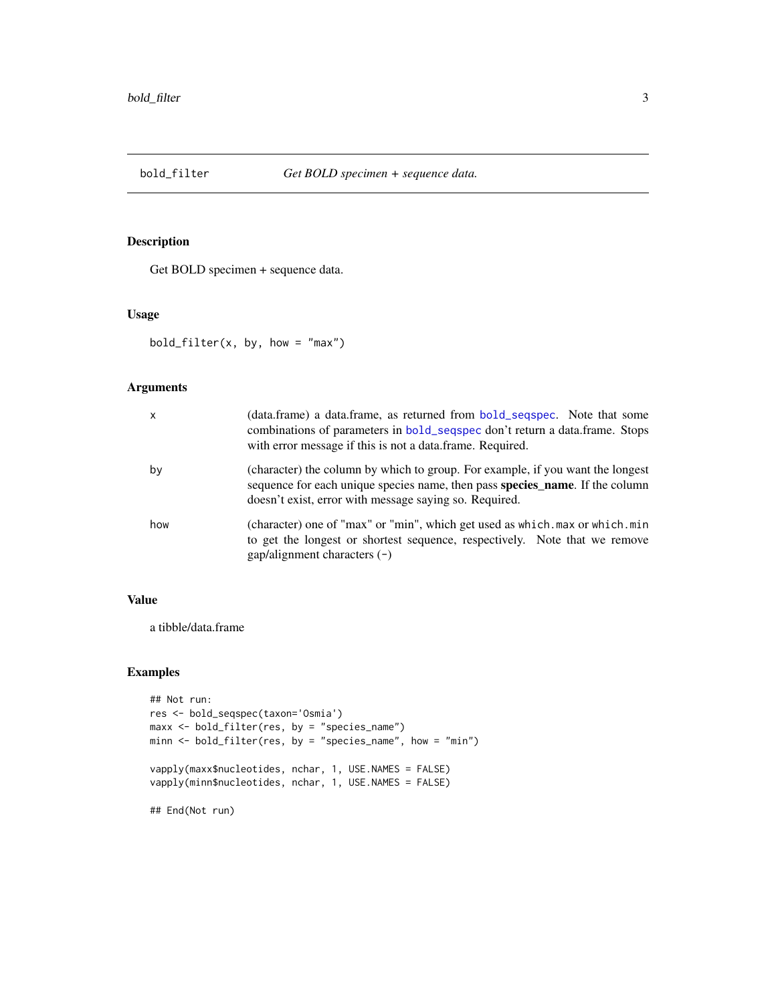<span id="page-2-0"></span>

#### Description

Get BOLD specimen + sequence data.

#### Usage

 $bold_finter(x, by, how = "max")$ 

#### Arguments

| X   | (data.frame) a data.frame, as returned from bold_segspec. Note that some<br>combinations of parameters in bold_seqspec don't return a data.frame. Stops<br>with error message if this is not a data frame. Required.     |
|-----|--------------------------------------------------------------------------------------------------------------------------------------------------------------------------------------------------------------------------|
| by  | (character) the column by which to group. For example, if you want the longest<br>sequence for each unique species name, then pass species_name. If the column<br>doesn't exist, error with message saying so. Required. |
| how | (character) one of "max" or "min", which get used as which.max or which.min<br>to get the longest or shortest sequence, respectively. Note that we remove<br>$\gamma$ gap/alignment characters $(-)$                     |

#### Value

a tibble/data.frame

```
## Not run:
res <- bold_seqspec(taxon='Osmia')
maxx <- bold_filter(res, by = "species_name")
minn \le bold_filter(res, by = "species_name", how = "min")
vapply(maxx$nucleotides, nchar, 1, USE.NAMES = FALSE)
vapply(minn$nucleotides, nchar, 1, USE.NAMES = FALSE)
## End(Not run)
```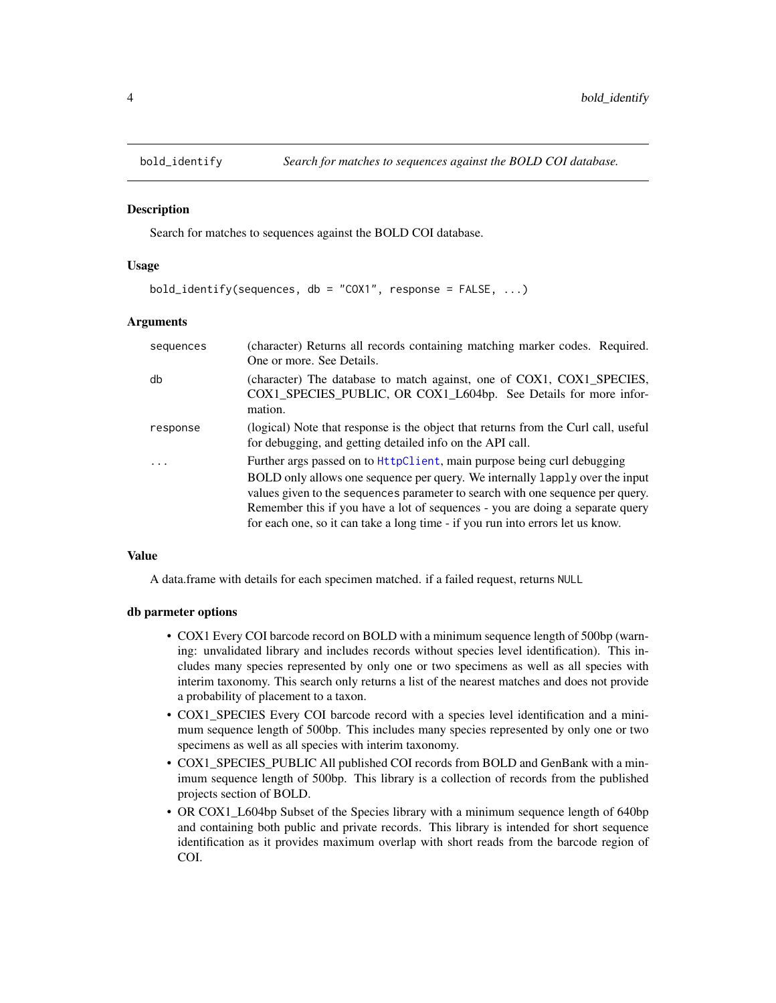<span id="page-3-1"></span><span id="page-3-0"></span>

#### Description

Search for matches to sequences against the BOLD COI database.

#### Usage

```
bold\_identity(sequences, db = "COX1", response = FALSE, ...)
```
#### **Arguments**

| sequences               | (character) Returns all records containing matching marker codes. Required.<br>One or more. See Details.                                                                                                                                                                                                                                                                                                     |
|-------------------------|--------------------------------------------------------------------------------------------------------------------------------------------------------------------------------------------------------------------------------------------------------------------------------------------------------------------------------------------------------------------------------------------------------------|
| db                      | (character) The database to match against, one of COX1, COX1_SPECIES,<br>COX1_SPECIES_PUBLIC, OR COX1_L604bp. See Details for more infor-<br>mation.                                                                                                                                                                                                                                                         |
| response                | (logical) Note that response is the object that returns from the Curl call, useful<br>for debugging, and getting detailed info on the API call.                                                                                                                                                                                                                                                              |
| $\cdot$ $\cdot$ $\cdot$ | Further args passed on to HttpClient, main purpose being curl debugging<br>BOLD only allows one sequence per query. We internally lapply over the input<br>values given to the sequences parameter to search with one sequence per query.<br>Remember this if you have a lot of sequences - you are doing a separate query<br>for each one, so it can take a long time - if you run into errors let us know. |

#### Value

A data.frame with details for each specimen matched. if a failed request, returns NULL

#### db parmeter options

- COX1 Every COI barcode record on BOLD with a minimum sequence length of 500bp (warning: unvalidated library and includes records without species level identification). This includes many species represented by only one or two specimens as well as all species with interim taxonomy. This search only returns a list of the nearest matches and does not provide a probability of placement to a taxon.
- COX1\_SPECIES Every COI barcode record with a species level identification and a minimum sequence length of 500bp. This includes many species represented by only one or two specimens as well as all species with interim taxonomy.
- COX1\_SPECIES\_PUBLIC All published COI records from BOLD and GenBank with a minimum sequence length of 500bp. This library is a collection of records from the published projects section of BOLD.
- OR COX1 L604bp Subset of the Species library with a minimum sequence length of 640bp and containing both public and private records. This library is intended for short sequence identification as it provides maximum overlap with short reads from the barcode region of COI.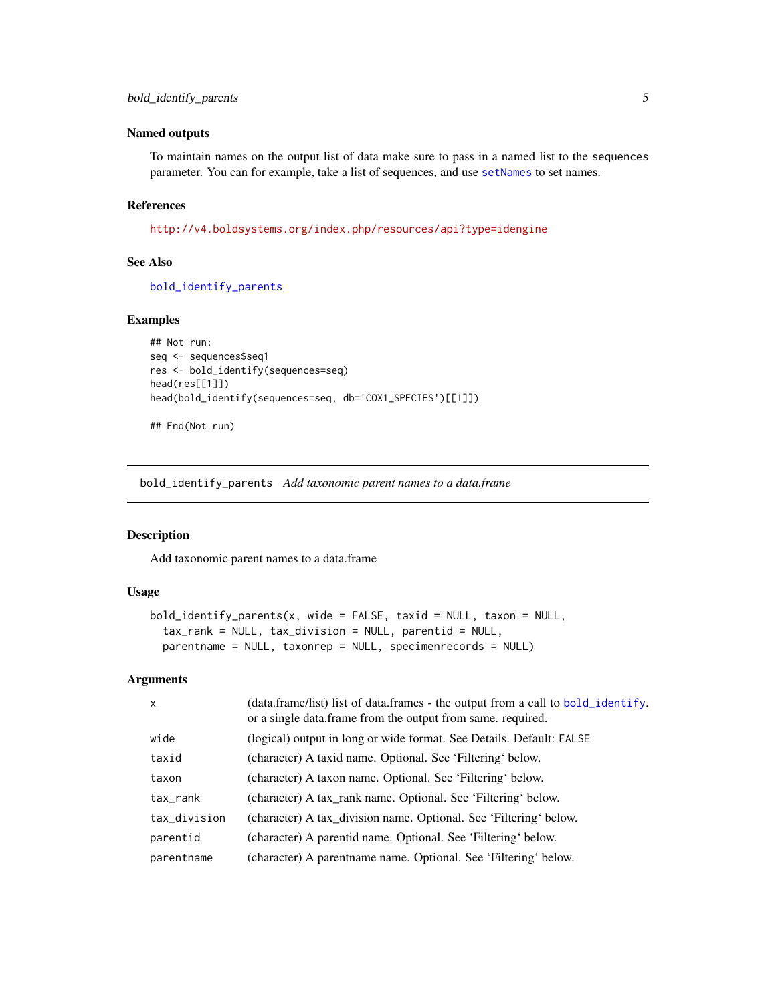#### <span id="page-4-0"></span>Named outputs

To maintain names on the output list of data make sure to pass in a named list to the sequences parameter. You can for example, take a list of sequences, and use [setNames](#page-0-0) to set names.

#### References

<http://v4.boldsystems.org/index.php/resources/api?type=idengine>

#### See Also

[bold\\_identify\\_parents](#page-4-1)

#### Examples

```
## Not run:
seq <- sequences$seq1
res <- bold_identify(sequences=seq)
head(res[[1]])
head(bold_identify(sequences=seq, db='COX1_SPECIES')[[1]])
```
## End(Not run)

<span id="page-4-1"></span>bold\_identify\_parents *Add taxonomic parent names to a data.frame*

#### Description

Add taxonomic parent names to a data.frame

#### Usage

```
bold_identify_parents(x, wide = FALSE, taxid = NULL, taxon = NULL,
  tax_rank = NULL, tax_division = NULL, parentid = NULL,
 parentname = NULL, taxonrep = NULL, specimenrecords = NULL)
```
#### Arguments

| $\mathsf{x}$ | (data.frame/list) list of data.frames - the output from a call to bold_identify.<br>or a single data. frame from the output from same, required. |
|--------------|--------------------------------------------------------------------------------------------------------------------------------------------------|
| wide         | (logical) output in long or wide format. See Details. Default: FALSE                                                                             |
| taxid        | (character) A taxid name. Optional. See 'Filtering' below.                                                                                       |
| taxon        | (character) A taxon name. Optional. See 'Filtering' below.                                                                                       |
| tax_rank     | (character) A tax_rank name. Optional. See 'Filtering' below.                                                                                    |
| tax_division | (character) A tax_division name. Optional. See 'Filtering' below.                                                                                |
| parentid     | (character) A parentid name. Optional. See 'Filtering' below.                                                                                    |
| parentname   | (character) A parentname name. Optional. See 'Filtering' below.                                                                                  |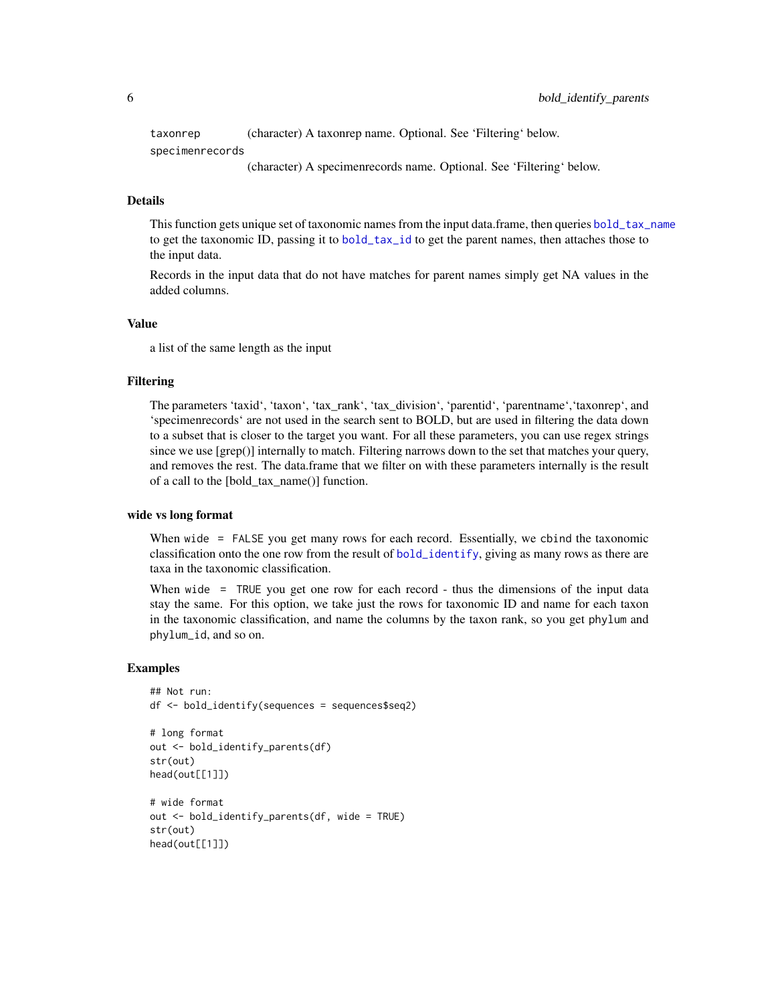<span id="page-5-0"></span>taxonrep (character) A taxonrep name. Optional. See 'Filtering' below. specimenrecords

(character) A specimenrecords name. Optional. See 'Filtering' below.

#### Details

This function gets unique set of taxonomic names from the input data.frame, then queries [bold\\_tax\\_name](#page-13-1) to get the taxonomic ID, passing it to [bold\\_tax\\_id](#page-12-1) to get the parent names, then attaches those to the input data.

Records in the input data that do not have matches for parent names simply get NA values in the added columns.

#### Value

a list of the same length as the input

#### Filtering

The parameters 'taxid', 'taxon', 'tax\_rank', 'tax\_division', 'parentid', 'parentname','taxonrep', and 'specimenrecords' are not used in the search sent to BOLD, but are used in filtering the data down to a subset that is closer to the target you want. For all these parameters, you can use regex strings since we use [grep()] internally to match. Filtering narrows down to the set that matches your query, and removes the rest. The data.frame that we filter on with these parameters internally is the result of a call to the [bold\_tax\_name()] function.

#### wide vs long format

When wide = FALSE you get many rows for each record. Essentially, we cbind the taxonomic classification onto the one row from the result of [bold\\_identify](#page-3-1), giving as many rows as there are taxa in the taxonomic classification.

When wide = TRUE you get one row for each record - thus the dimensions of the input data stay the same. For this option, we take just the rows for taxonomic ID and name for each taxon in the taxonomic classification, and name the columns by the taxon rank, so you get phylum and phylum\_id, and so on.

```
## Not run:
df <- bold_identify(sequences = sequences$seq2)
# long format
out <- bold_identify_parents(df)
str(out)
```

```
head(out[[1]])
```

```
# wide format
out <- bold_identify_parents(df, wide = TRUE)
str(out)
head(out[[1]])
```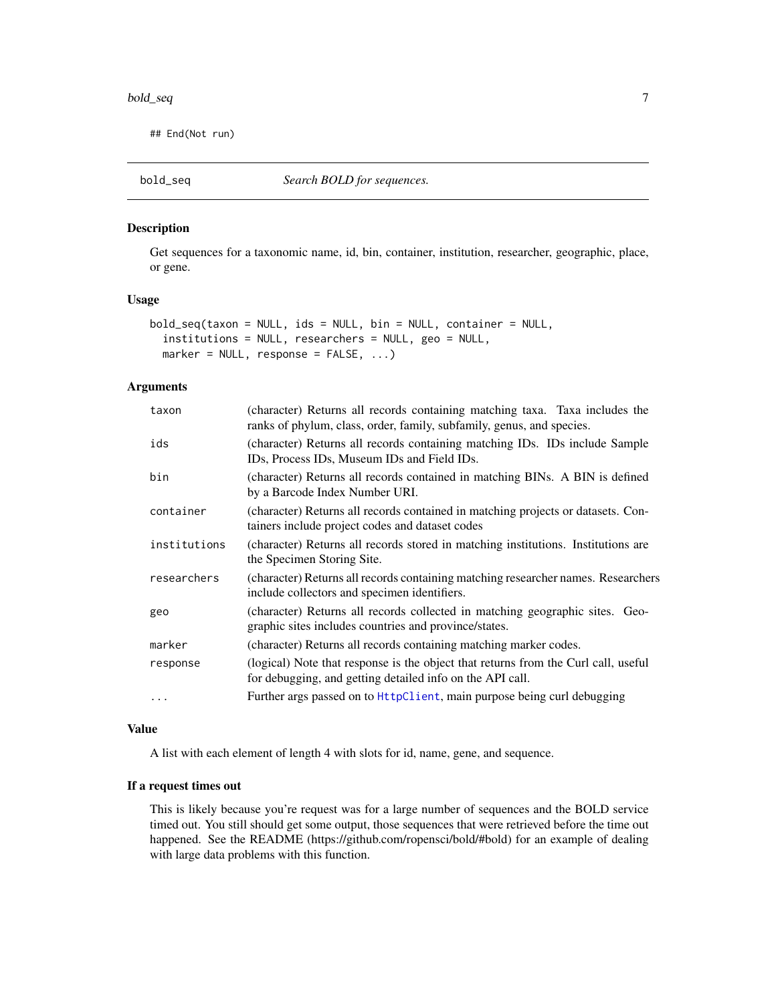<span id="page-6-0"></span>## End(Not run)

<span id="page-6-1"></span>bold\_seq *Search BOLD for sequences.*

#### Description

Get sequences for a taxonomic name, id, bin, container, institution, researcher, geographic, place, or gene.

#### Usage

```
bold_seq(taxon = NULL, ids = NULL, bin = NULL, container = NULL,
  institutions = NULL, researchers = NULL, geo = NULL,
 marker = NULL, response = FALSE, ...)
```
#### Arguments

| taxon        | (character) Returns all records containing matching taxa. Taxa includes the<br>ranks of phylum, class, order, family, subfamily, genus, and species. |
|--------------|------------------------------------------------------------------------------------------------------------------------------------------------------|
| ids          | (character) Returns all records containing matching IDs. IDs include Sample<br>IDs, Process IDs, Museum IDs and Field IDs.                           |
| bin          | (character) Returns all records contained in matching BINs. A BIN is defined<br>by a Barcode Index Number URI.                                       |
| container    | (character) Returns all records contained in matching projects or datasets. Con-<br>tainers include project codes and dataset codes                  |
| institutions | (character) Returns all records stored in matching institutions. Institutions are<br>the Specimen Storing Site.                                      |
| researchers  | (character) Returns all records containing matching researcher names. Researchers<br>include collectors and specimen identifiers.                    |
| geo          | (character) Returns all records collected in matching geographic sites. Geo-<br>graphic sites includes countries and province/states.                |
| marker       | (character) Returns all records containing matching marker codes.                                                                                    |
| response     | (logical) Note that response is the object that returns from the Curl call, useful<br>for debugging, and getting detailed info on the API call.      |
|              | Further args passed on to HttpClient, main purpose being curl debugging                                                                              |

#### Value

A list with each element of length 4 with slots for id, name, gene, and sequence.

#### If a request times out

This is likely because you're request was for a large number of sequences and the BOLD service timed out. You still should get some output, those sequences that were retrieved before the time out happened. See the README (https://github.com/ropensci/bold/#bold) for an example of dealing with large data problems with this function.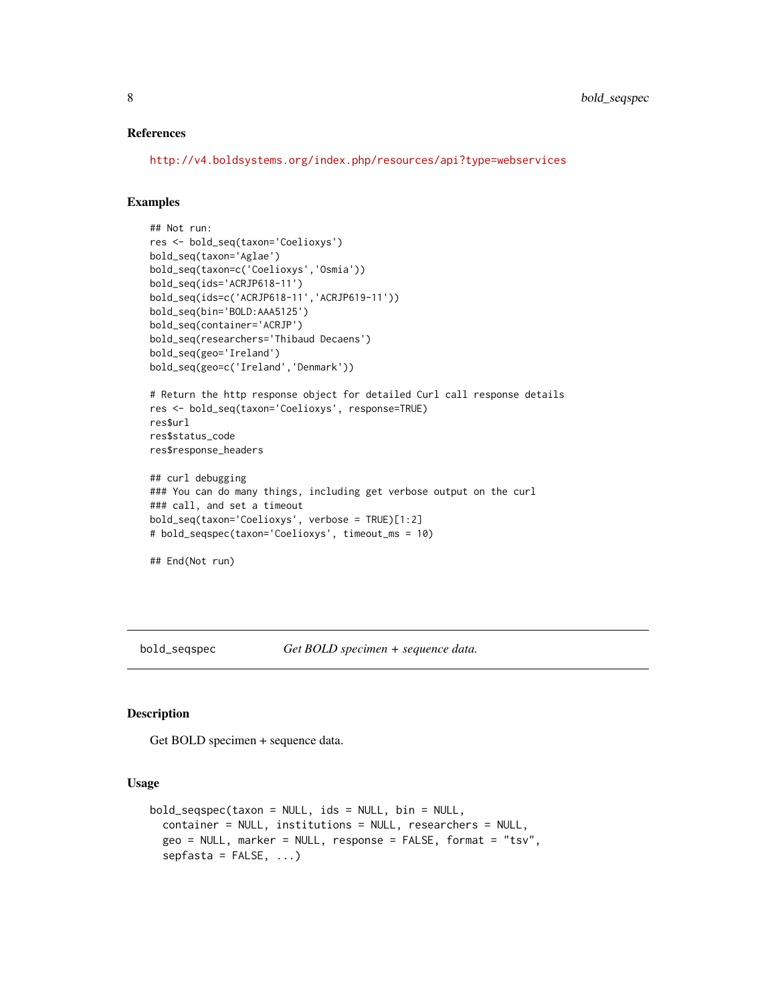#### <span id="page-7-0"></span>References

<http://v4.boldsystems.org/index.php/resources/api?type=webservices>

#### Examples

```
## Not run:
res <- bold_seq(taxon='Coelioxys')
bold_seq(taxon='Aglae')
bold_seq(taxon=c('Coelioxys','Osmia'))
bold_seq(ids='ACRJP618-11')
bold_seq(ids=c('ACRJP618-11','ACRJP619-11'))
bold_seq(bin='BOLD:AAA5125')
bold_seq(container='ACRJP')
bold_seq(researchers='Thibaud Decaens')
bold_seq(geo='Ireland')
bold_seq(geo=c('Ireland','Denmark'))
# Return the http response object for detailed Curl call response details
res <- bold_seq(taxon='Coelioxys', response=TRUE)
res$url
res$status_code
res$response_headers
## curl debugging
### You can do many things, including get verbose output on the curl
### call, and set a timeout
bold_seq(taxon='Coelioxys', verbose = TRUE)[1:2]
# bold_seqspec(taxon='Coelioxys', timeout_ms = 10)
## End(Not run)
```
<span id="page-7-1"></span>bold\_seqspec *Get BOLD specimen + sequence data.*

#### Description

Get BOLD specimen + sequence data.

#### Usage

```
bold_seqspec(taxon = NULL, ids = NULL, bin = NULL,
  container = NULL, institutions = NULL, researchers = NULL,
  geo = NULL, marker = NULL, response = FALSE, format = "tsv",
  sepfasta = FALSE, ...)
```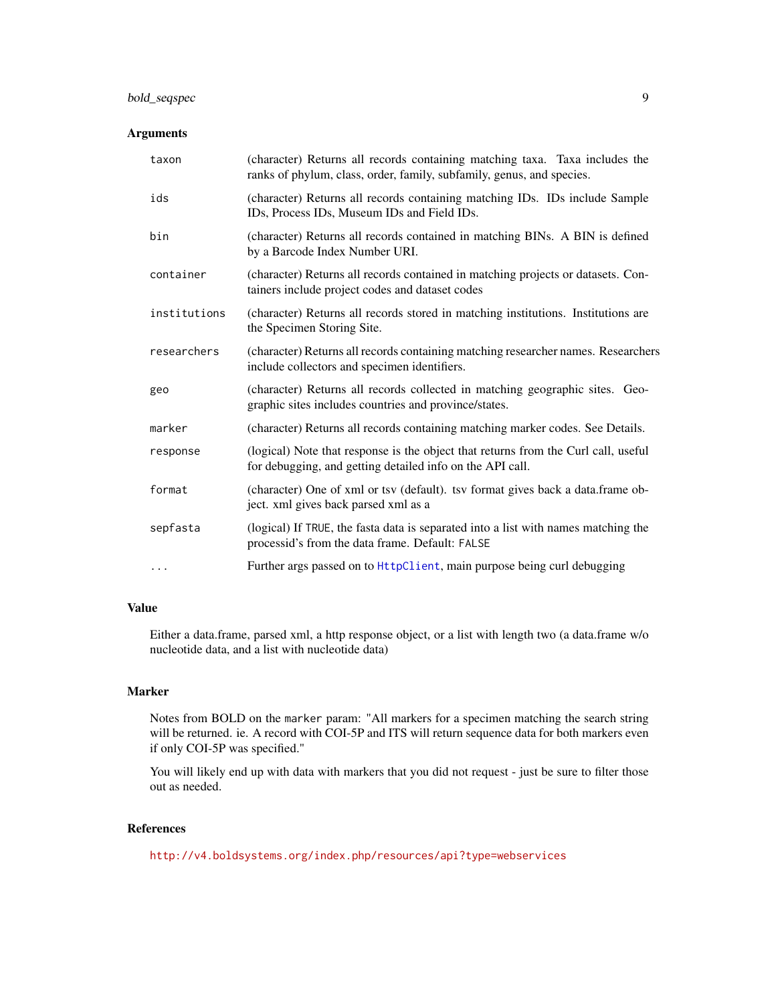#### <span id="page-8-0"></span>bold\_seqspec 9

#### Arguments

| taxon        | (character) Returns all records containing matching taxa. Taxa includes the<br>ranks of phylum, class, order, family, subfamily, genus, and species. |
|--------------|------------------------------------------------------------------------------------------------------------------------------------------------------|
| ids          | (character) Returns all records containing matching IDs. IDs include Sample<br>IDs, Process IDs, Museum IDs and Field IDs.                           |
| bin          | (character) Returns all records contained in matching BINs. A BIN is defined<br>by a Barcode Index Number URI.                                       |
| container    | (character) Returns all records contained in matching projects or datasets. Con-<br>tainers include project codes and dataset codes                  |
| institutions | (character) Returns all records stored in matching institutions. Institutions are<br>the Specimen Storing Site.                                      |
| researchers  | (character) Returns all records containing matching researcher names. Researchers<br>include collectors and specimen identifiers.                    |
| geo          | (character) Returns all records collected in matching geographic sites. Geo-<br>graphic sites includes countries and province/states.                |
| marker       | (character) Returns all records containing matching marker codes. See Details.                                                                       |
| response     | (logical) Note that response is the object that returns from the Curl call, useful<br>for debugging, and getting detailed info on the API call.      |
| format       | (character) One of xml or tsv (default). tsv format gives back a data.frame ob-<br>ject. xml gives back parsed xml as a                              |
| sepfasta     | (logical) If TRUE, the fasta data is separated into a list with names matching the<br>processid's from the data frame. Default: FALSE                |
| $\cdots$     | Further args passed on to HttpClient, main purpose being curl debugging                                                                              |

#### Value

Either a data.frame, parsed xml, a http response object, or a list with length two (a data.frame w/o nucleotide data, and a list with nucleotide data)

#### Marker

Notes from BOLD on the marker param: "All markers for a specimen matching the search string will be returned. ie. A record with COI-5P and ITS will return sequence data for both markers even if only COI-5P was specified."

You will likely end up with data with markers that you did not request - just be sure to filter those out as needed.

#### References

<http://v4.boldsystems.org/index.php/resources/api?type=webservices>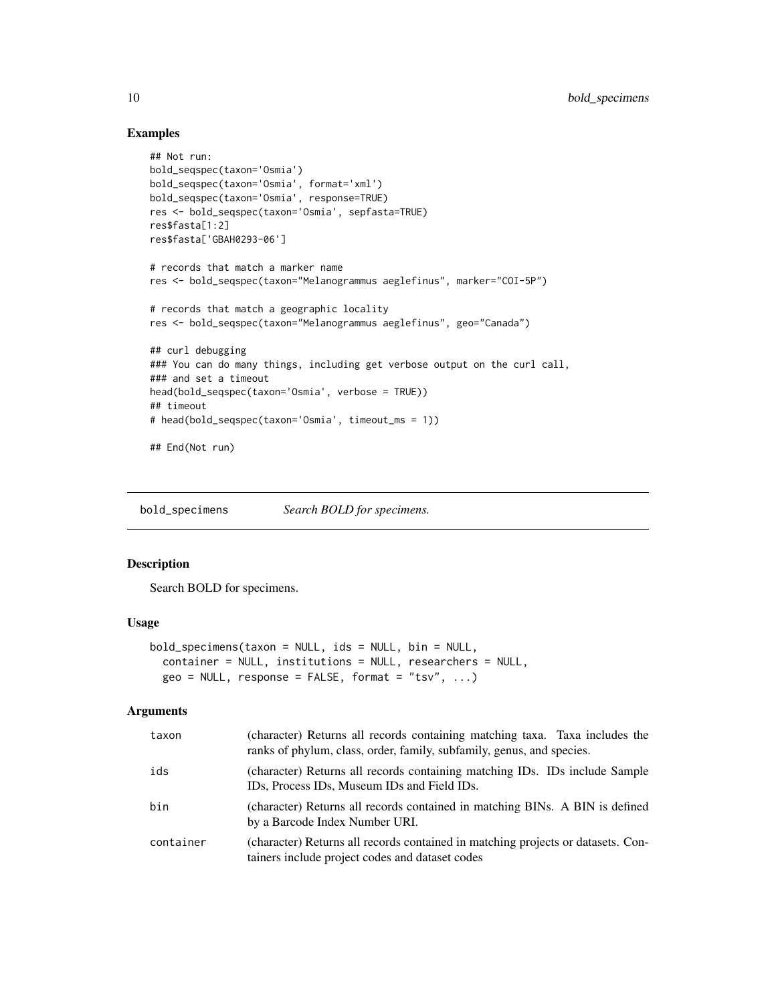#### Examples

```
## Not run:
bold_seqspec(taxon='Osmia')
bold_seqspec(taxon='Osmia', format='xml')
bold_seqspec(taxon='Osmia', response=TRUE)
res <- bold_seqspec(taxon='Osmia', sepfasta=TRUE)
res$fasta[1:2]
res$fasta['GBAH0293-06']
# records that match a marker name
res <- bold_seqspec(taxon="Melanogrammus aeglefinus", marker="COI-5P")
# records that match a geographic locality
res <- bold_seqspec(taxon="Melanogrammus aeglefinus", geo="Canada")
## curl debugging
### You can do many things, including get verbose output on the curl call,
### and set a timeout
head(bold_seqspec(taxon='Osmia', verbose = TRUE))
## timeout
# head(bold_seqspec(taxon='Osmia', timeout_ms = 1))
## End(Not run)
```
<span id="page-9-1"></span>bold\_specimens *Search BOLD for specimens.*

#### Description

Search BOLD for specimens.

#### Usage

```
bold_specimens(taxon = NULL, ids = NULL, bin = NULL,
  container = NULL, institutions = NULL, researchers = NULL,
  geo = NULL, response = FALSE, format = "tsv", ...)
```
#### Arguments

| taxon     | (character) Returns all records containing matching taxa. Taxa includes the<br>ranks of phylum, class, order, family, subfamily, genus, and species. |
|-----------|------------------------------------------------------------------------------------------------------------------------------------------------------|
| ids       | (character) Returns all records containing matching IDs. IDs include Sample<br>IDs, Process IDs, Museum IDs and Field IDs.                           |
| bin       | (character) Returns all records contained in matching BINs. A BIN is defined<br>by a Barcode Index Number URI.                                       |
| container | (character) Returns all records contained in matching projects or datasets. Con-<br>tainers include project codes and dataset codes                  |

<span id="page-9-0"></span>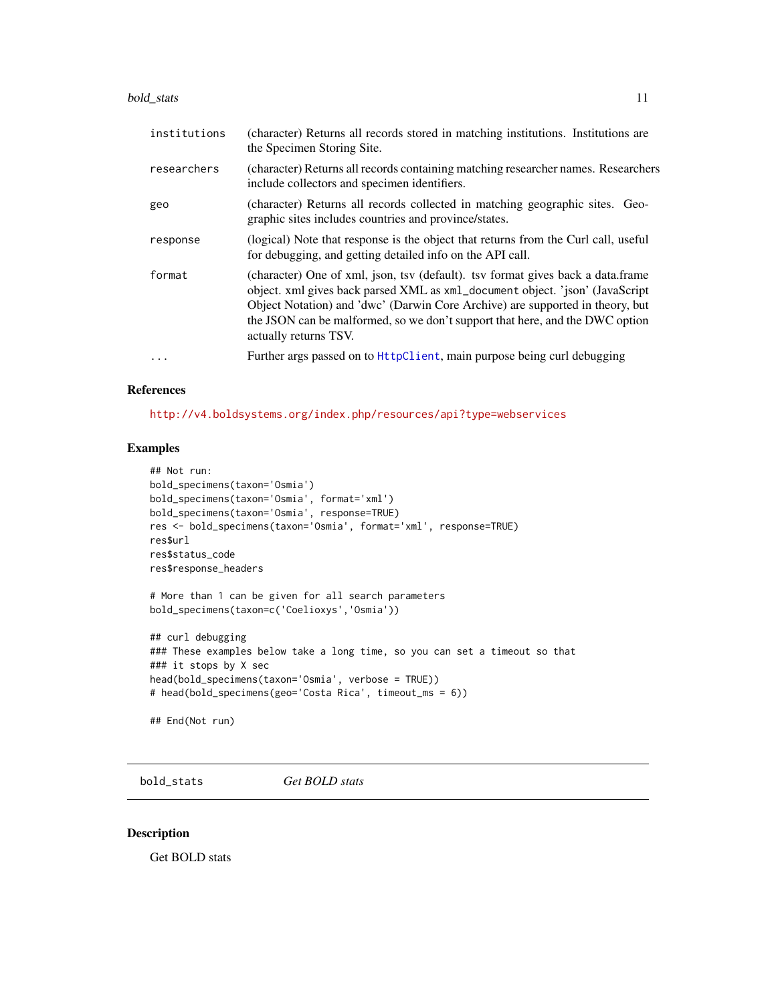#### <span id="page-10-0"></span>bold\_stats 11

| institutions | (character) Returns all records stored in matching institutions. Institutions are<br>the Specimen Storing Site.                                                                                                                                                                                                                                           |
|--------------|-----------------------------------------------------------------------------------------------------------------------------------------------------------------------------------------------------------------------------------------------------------------------------------------------------------------------------------------------------------|
| researchers  | (character) Returns all records containing matching researcher names. Researchers<br>include collectors and specimen identifiers.                                                                                                                                                                                                                         |
| geo          | (character) Returns all records collected in matching geographic sites. Geo-<br>graphic sites includes countries and province/states.                                                                                                                                                                                                                     |
| response     | (logical) Note that response is the object that returns from the Curl call, useful<br>for debugging, and getting detailed info on the API call.                                                                                                                                                                                                           |
| format       | (character) One of xml, json, tsv (default). tsv format gives back a data.frame<br>object. xml gives back parsed XML as xml_document object. 'json' (JavaScript<br>Object Notation) and 'dwc' (Darwin Core Archive) are supported in theory, but<br>the JSON can be malformed, so we don't support that here, and the DWC option<br>actually returns TSV. |
| $\ddotsc$    | Further args passed on to HttpClient, main purpose being curl debugging                                                                                                                                                                                                                                                                                   |

#### References

<http://v4.boldsystems.org/index.php/resources/api?type=webservices>

#### Examples

```
## Not run:
bold_specimens(taxon='Osmia')
bold_specimens(taxon='Osmia', format='xml')
bold_specimens(taxon='Osmia', response=TRUE)
res <- bold_specimens(taxon='Osmia', format='xml', response=TRUE)
res$url
res$status_code
res$response_headers
# More than 1 can be given for all search parameters
bold_specimens(taxon=c('Coelioxys','Osmia'))
## curl debugging
### These examples below take a long time, so you can set a timeout so that
### it stops by X sec
```

```
head(bold_specimens(taxon='Osmia', verbose = TRUE))
# head(bold_specimens(geo='Costa Rica', timeout_ms = 6))
```
## End(Not run)

bold\_stats *Get BOLD stats*

#### Description

Get BOLD stats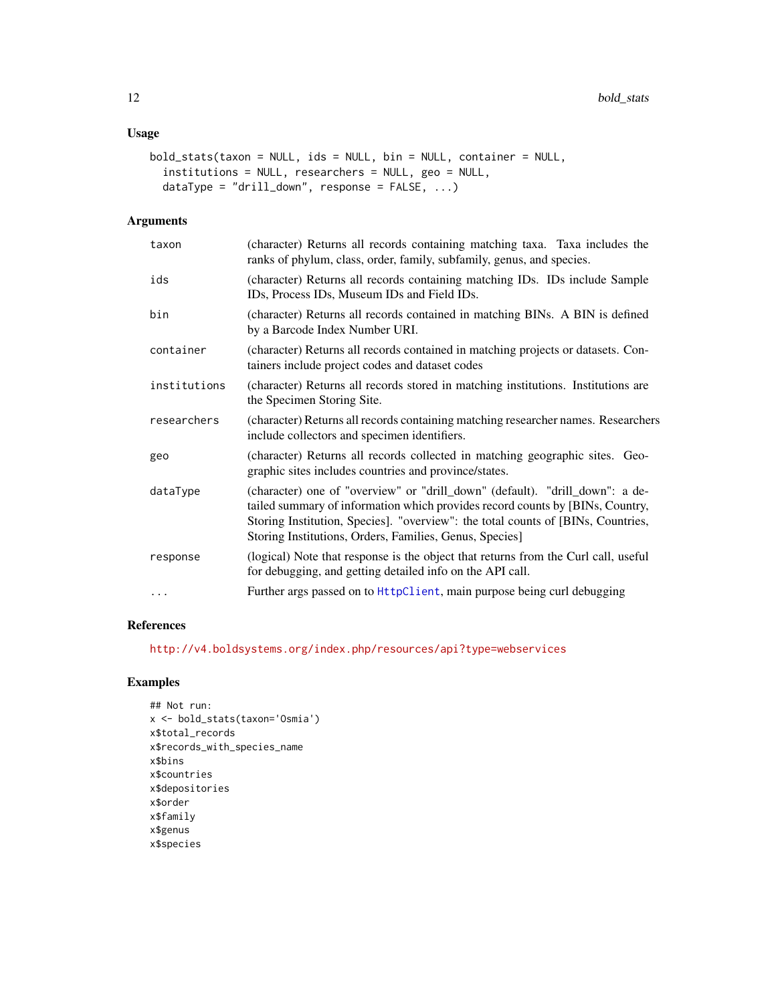#### Usage

```
bold_stats(taxon = NULL, ids = NULL, bin = NULL, container = NULL,
  institutions = NULL, researchers = NULL, geo = NULL,
 dataType = "drill_down", response = FALSE, ...)
```
#### Arguments

| taxon        | (character) Returns all records containing matching taxa. Taxa includes the<br>ranks of phylum, class, order, family, subfamily, genus, and species.                                                                                                                                                         |
|--------------|--------------------------------------------------------------------------------------------------------------------------------------------------------------------------------------------------------------------------------------------------------------------------------------------------------------|
| ids          | (character) Returns all records containing matching IDs. IDs include Sample<br>IDs, Process IDs, Museum IDs and Field IDs.                                                                                                                                                                                   |
| bin          | (character) Returns all records contained in matching BINs. A BIN is defined<br>by a Barcode Index Number URI.                                                                                                                                                                                               |
| container    | (character) Returns all records contained in matching projects or datasets. Con-<br>tainers include project codes and dataset codes                                                                                                                                                                          |
| institutions | (character) Returns all records stored in matching institutions. Institutions are<br>the Specimen Storing Site.                                                                                                                                                                                              |
| researchers  | (character) Returns all records containing matching researcher names. Researchers<br>include collectors and specimen identifiers.                                                                                                                                                                            |
| geo          | (character) Returns all records collected in matching geographic sites. Geo-<br>graphic sites includes countries and province/states.                                                                                                                                                                        |
| dataType     | (character) one of "overview" or "drill_down" (default). "drill_down": a de-<br>tailed summary of information which provides record counts by [BINs, Country,<br>Storing Institution, Species]. "overview": the total counts of [BINs, Countries,<br>Storing Institutions, Orders, Families, Genus, Species] |
| response     | (logical) Note that response is the object that returns from the Curl call, useful<br>for debugging, and getting detailed info on the API call.                                                                                                                                                              |
| $\ddots$     | Further args passed on to HttpClient, main purpose being curl debugging                                                                                                                                                                                                                                      |
|              |                                                                                                                                                                                                                                                                                                              |

#### References

<http://v4.boldsystems.org/index.php/resources/api?type=webservices>

```
## Not run:
x <- bold_stats(taxon='Osmia')
x$total_records
x$records_with_species_name
x$bins
x$countries
x$depositories
x$order
x$family
x$genus
x$species
```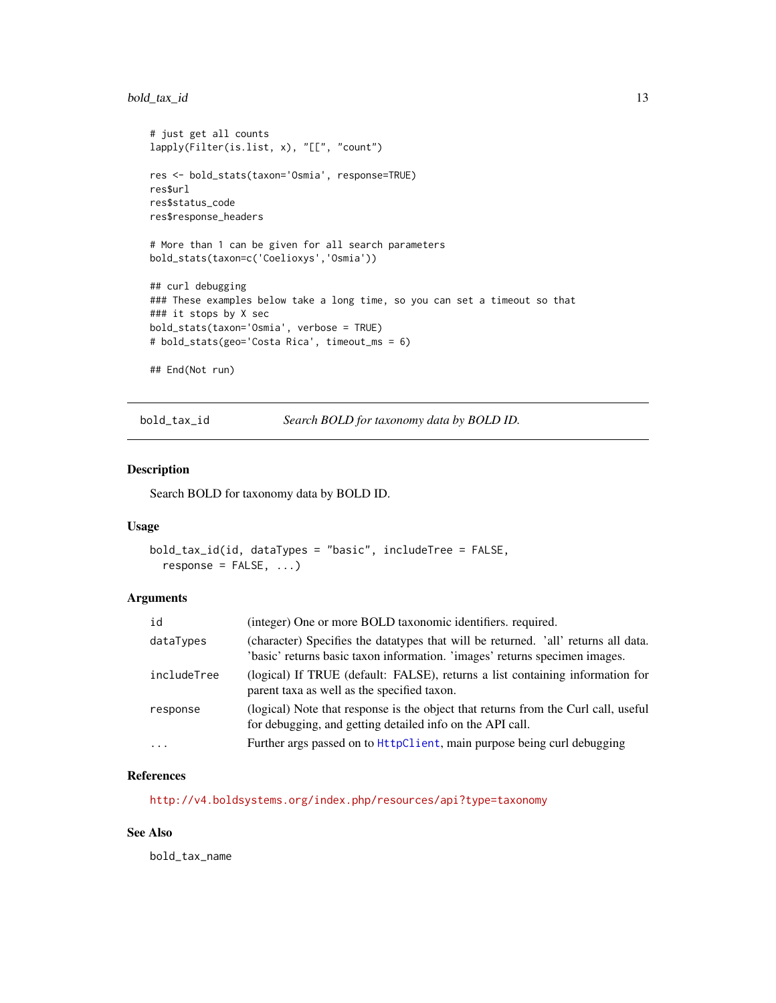#### <span id="page-12-0"></span>bold\_tax\_id 13

```
# just get all counts
lapply(Filter(is.list, x), "[[", "count")
res <- bold_stats(taxon='Osmia', response=TRUE)
res$url
res$status_code
res$response_headers
# More than 1 can be given for all search parameters
bold_stats(taxon=c('Coelioxys','Osmia'))
## curl debugging
### These examples below take a long time, so you can set a timeout so that
### it stops by X sec
bold_stats(taxon='Osmia', verbose = TRUE)
# bold_stats(geo='Costa Rica', timeout_ms = 6)
## End(Not run)
```

```
bold_tax_id Search BOLD for taxonomy data by BOLD ID.
```
#### Description

Search BOLD for taxonomy data by BOLD ID.

#### Usage

```
bold_tax_id(id, dataTypes = "basic", includeTree = FALSE,
  response = FALSE, ...)
```
#### Arguments

| id                  | (integer) One or more BOLD taxonomic identifiers. required.                                                                                                      |
|---------------------|------------------------------------------------------------------------------------------------------------------------------------------------------------------|
| dataTypes           | (character) Specifies the datatypes that will be returned. 'all' returns all data.<br>'basic' returns basic taxon information. 'images' returns specimen images. |
| includeTree         | (logical) If TRUE (default: FALSE), returns a list containing information for<br>parent taxa as well as the specified taxon.                                     |
| response            | (logical) Note that response is the object that returns from the Curl call, useful<br>for debugging, and getting detailed info on the API call.                  |
| $\cdot \cdot \cdot$ | Further args passed on to HttpClient, main purpose being curl debugging                                                                                          |

#### References

<http://v4.boldsystems.org/index.php/resources/api?type=taxonomy>

#### See Also

bold\_tax\_name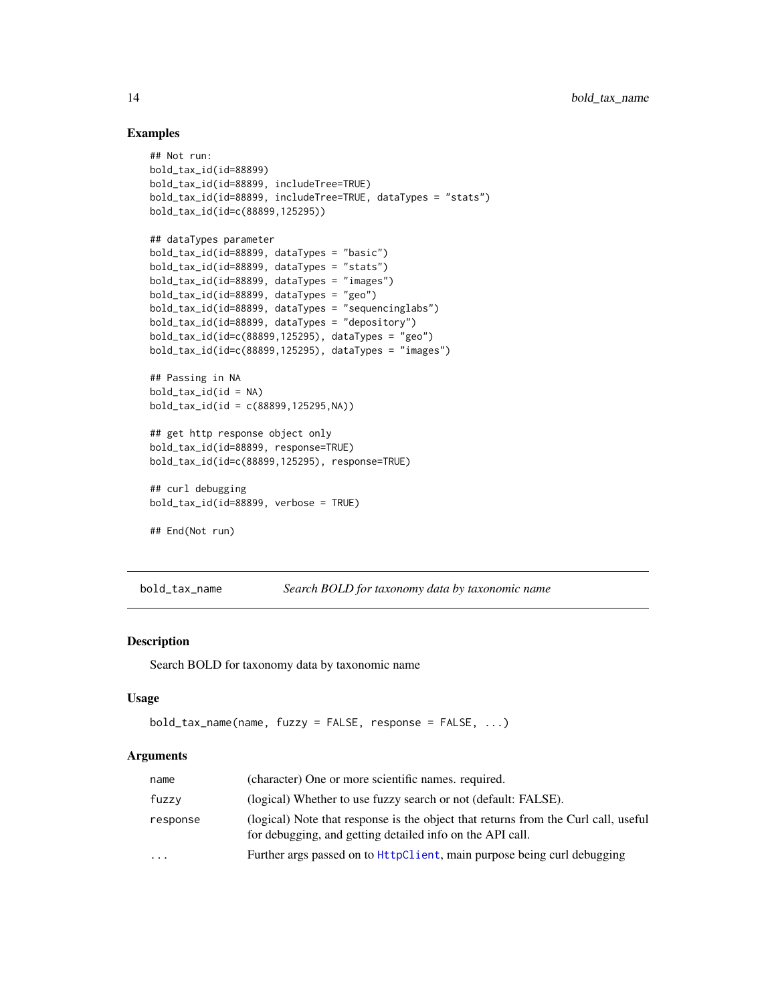#### Examples

```
## Not run:
bold_tax_id(id=88899)
bold_tax_id(id=88899, includeTree=TRUE)
bold_tax_id(id=88899, includeTree=TRUE, dataTypes = "stats")
bold_tax_id(id=c(88899,125295))
## dataTypes parameter
bold_tax_id(id=88899, dataTypes = "basic")
bold_tax_id(id=88899, dataTypes = "stats")
bold_tax_id(id=88899, dataTypes = "images")
bold_tax_id(id=88899, dataTypes = "geo")
bold_tax_id(id=88899, dataTypes = "sequencinglabs")
bold_tax_id(id=88899, dataTypes = "depository")
bold_tax_id(id=c(88899,125295), dataTypes = "geo")
bold_tax_id(id=c(88899,125295), dataTypes = "images")
## Passing in NA
bold_{\text{tax_id(id}} = NA)bold_tax_id(id = c(88899,125295,NA))
## get http response object only
bold_tax_id(id=88899, response=TRUE)
bold_tax_id(id=c(88899,125295), response=TRUE)
## curl debugging
bold_tax_id(id=88899, verbose = TRUE)
## End(Not run)
```
<span id="page-13-1"></span>bold\_tax\_name *Search BOLD for taxonomy data by taxonomic name*

#### Description

Search BOLD for taxonomy data by taxonomic name

#### Usage

```
bold_tax_name(name, fuzzy = FALSE, response = FALSE, ...)
```
#### Arguments

| name      | (character) One or more scientific names, required.                                                                                             |
|-----------|-------------------------------------------------------------------------------------------------------------------------------------------------|
| fuzzy     | (logical) Whether to use fuzzy search or not (default: FALSE).                                                                                  |
| response  | (logical) Note that response is the object that returns from the Curl call, useful<br>for debugging, and getting detailed info on the API call. |
| $\ddotsc$ | Further args passed on to HttpClient, main purpose being curl debugging                                                                         |

<span id="page-13-0"></span>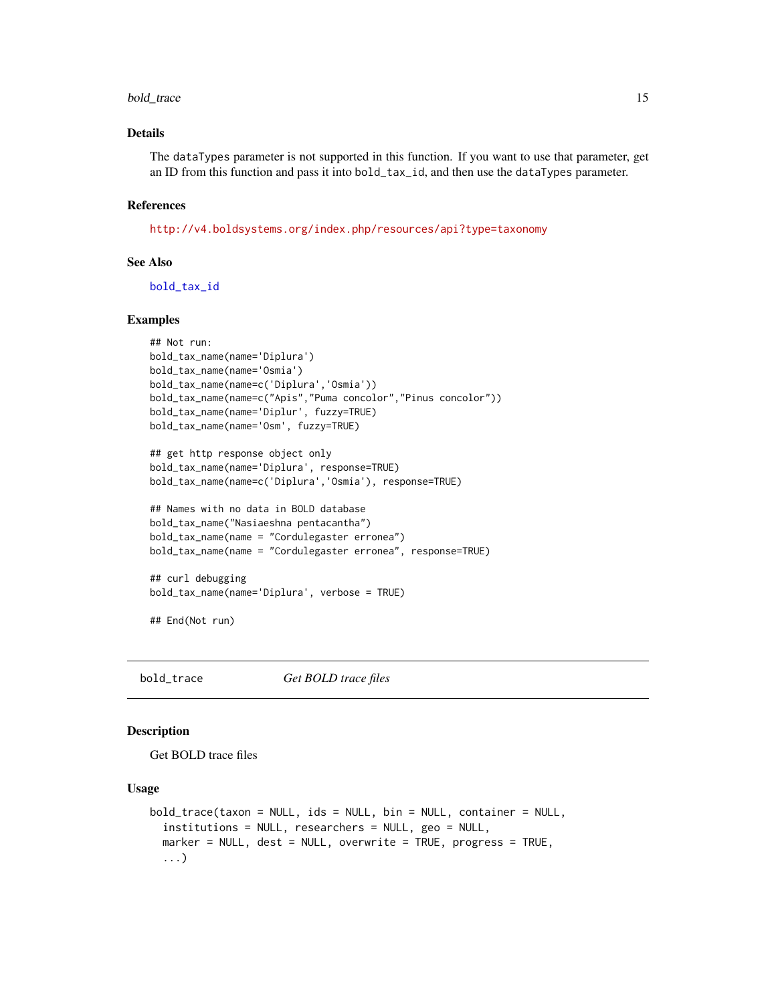#### <span id="page-14-0"></span>bold\_trace 15

#### Details

The dataTypes parameter is not supported in this function. If you want to use that parameter, get an ID from this function and pass it into bold\_tax\_id, and then use the dataTypes parameter.

#### References

<http://v4.boldsystems.org/index.php/resources/api?type=taxonomy>

#### See Also

[bold\\_tax\\_id](#page-12-1)

#### Examples

```
## Not run:
bold_tax_name(name='Diplura')
bold_tax_name(name='Osmia')
bold_tax_name(name=c('Diplura','Osmia'))
bold_tax_name(name=c("Apis","Puma concolor","Pinus concolor"))
bold_tax_name(name='Diplur', fuzzy=TRUE)
bold_tax_name(name='Osm', fuzzy=TRUE)
```

```
## get http response object only
bold_tax_name(name='Diplura', response=TRUE)
bold_tax_name(name=c('Diplura','Osmia'), response=TRUE)
```

```
## Names with no data in BOLD database
bold_tax_name("Nasiaeshna pentacantha")
bold_tax_name(name = "Cordulegaster erronea")
bold_tax_name(name = "Cordulegaster erronea", response=TRUE)
```

```
## curl debugging
bold_tax_name(name='Diplura', verbose = TRUE)
```
## End(Not run)

<span id="page-14-1"></span>bold\_trace *Get BOLD trace files*

#### <span id="page-14-2"></span>Description

Get BOLD trace files

#### Usage

```
bold_trace(taxon = NULL, ids = NULL, bin = NULL, container = NULL,
  institutions = NULL, researchers = NULL, geo = NULL,
  marker = NULL, dest = NULL, overwrite = TRUE, progress = TRUE,
  ...)
```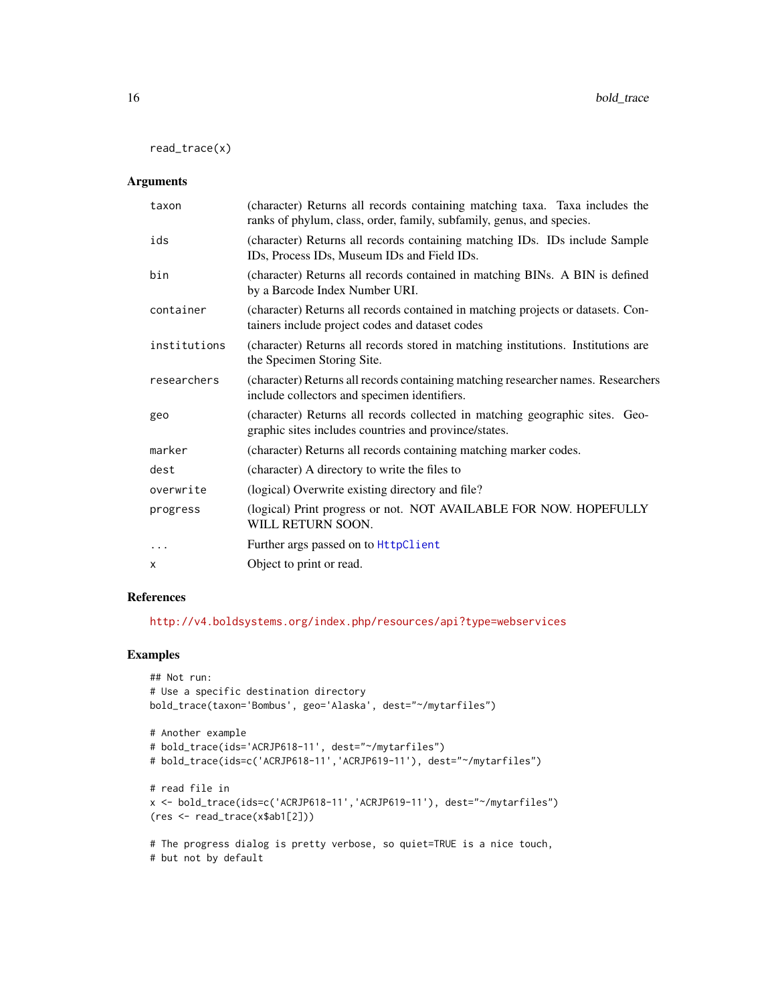<span id="page-15-0"></span>read\_trace(x)

#### Arguments

| taxon        | (character) Returns all records containing matching taxa. Taxa includes the<br>ranks of phylum, class, order, family, subfamily, genus, and species. |
|--------------|------------------------------------------------------------------------------------------------------------------------------------------------------|
| ids          | (character) Returns all records containing matching IDs. IDs include Sample<br>IDs, Process IDs, Museum IDs and Field IDs.                           |
| bin          | (character) Returns all records contained in matching BINs. A BIN is defined<br>by a Barcode Index Number URI.                                       |
| container    | (character) Returns all records contained in matching projects or datasets. Con-<br>tainers include project codes and dataset codes                  |
| institutions | (character) Returns all records stored in matching institutions. Institutions are<br>the Specimen Storing Site.                                      |
| researchers  | (character) Returns all records containing matching researcher names. Researchers<br>include collectors and specimen identifiers.                    |
| geo          | (character) Returns all records collected in matching geographic sites. Geo-<br>graphic sites includes countries and province/states.                |
| marker       | (character) Returns all records containing matching marker codes.                                                                                    |
| dest         | (character) A directory to write the files to                                                                                                        |
| overwrite    | (logical) Overwrite existing directory and file?                                                                                                     |
| progress     | (logical) Print progress or not. NOT AVAILABLE FOR NOW. HOPEFULLY<br>WILL RETURN SOON.                                                               |
| $\cdots$     | Further args passed on to HttpClient                                                                                                                 |
| $\times$     | Object to print or read.                                                                                                                             |

#### References

<http://v4.boldsystems.org/index.php/resources/api?type=webservices>

```
## Not run:
# Use a specific destination directory
bold_trace(taxon='Bombus', geo='Alaska', dest="~/mytarfiles")
# Another example
# bold_trace(ids='ACRJP618-11', dest="~/mytarfiles")
# bold_trace(ids=c('ACRJP618-11','ACRJP619-11'), dest="~/mytarfiles")
# read file in
x <- bold_trace(ids=c('ACRJP618-11','ACRJP619-11'), dest="~/mytarfiles")
(res <- read_trace(x$ab1[2]))
# The progress dialog is pretty verbose, so quiet=TRUE is a nice touch,
# but not by default
```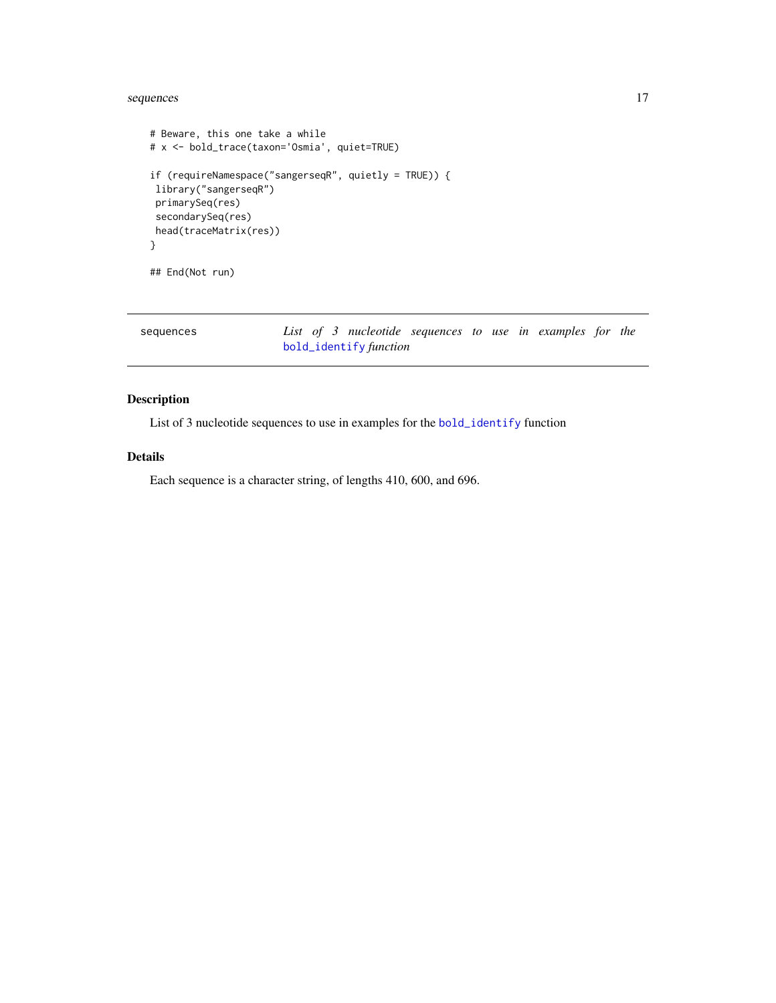#### <span id="page-16-0"></span>sequences and the sequences of the sequences of the sequences of the sequences of the sequences of the sequences of the sequence of the sequence of the sequence of the sequence of the sequence of the sequence of the sequen

```
# Beware, this one take a while
# x <- bold_trace(taxon='Osmia', quiet=TRUE)
if (requireNamespace("sangerseqR", quietly = TRUE)) {
library("sangerseqR")
primarySeq(res)
secondarySeq(res)
head(traceMatrix(res))
}
## End(Not run)
```

| List of 3 nucleotide sequences to use in examples for the<br>sequences<br>bold_identify function |
|--------------------------------------------------------------------------------------------------|
|--------------------------------------------------------------------------------------------------|

#### Description

List of 3 nucleotide sequences to use in examples for the [bold\\_identify](#page-3-1) function

#### Details

Each sequence is a character string, of lengths 410, 600, and 696.